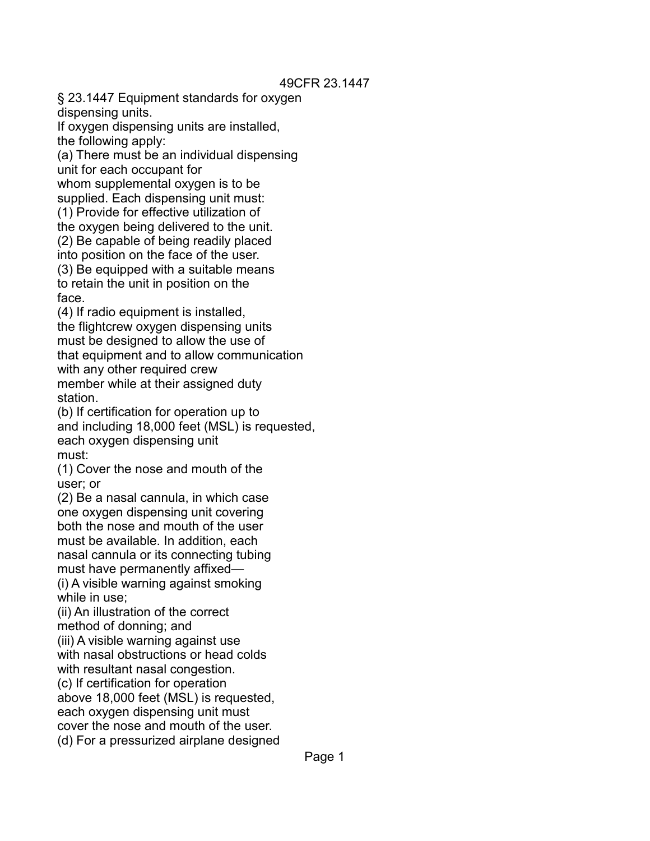§ 23.1447 Equipment standards for oxygen dispensing units.

If oxygen dispensing units are installed, the following apply:

(a) There must be an individual dispensing unit for each occupant for

whom supplemental oxygen is to be supplied. Each dispensing unit must:

(1) Provide for effective utilization of

the oxygen being delivered to the unit. (2) Be capable of being readily placed

into position on the face of the user.

(3) Be equipped with a suitable means to retain the unit in position on the face.

(4) If radio equipment is installed, the flightcrew oxygen dispensing units must be designed to allow the use of that equipment and to allow communication with any other required crew member while at their assigned duty station.

(b) If certification for operation up to and including 18,000 feet (MSL) is requested, each oxygen dispensing unit must:

(1) Cover the nose and mouth of the user; or

(2) Be a nasal cannula, in which case one oxygen dispensing unit covering both the nose and mouth of the user must be available. In addition, each nasal cannula or its connecting tubing must have permanently affixed— (i) A visible warning against smoking

while in use:

(ii) An illustration of the correct method of donning; and

(iii) A visible warning against use with nasal obstructions or head colds with resultant nasal congestion.

(c) If certification for operation

above 18,000 feet (MSL) is requested,

each oxygen dispensing unit must

cover the nose and mouth of the user.

(d) For a pressurized airplane designed